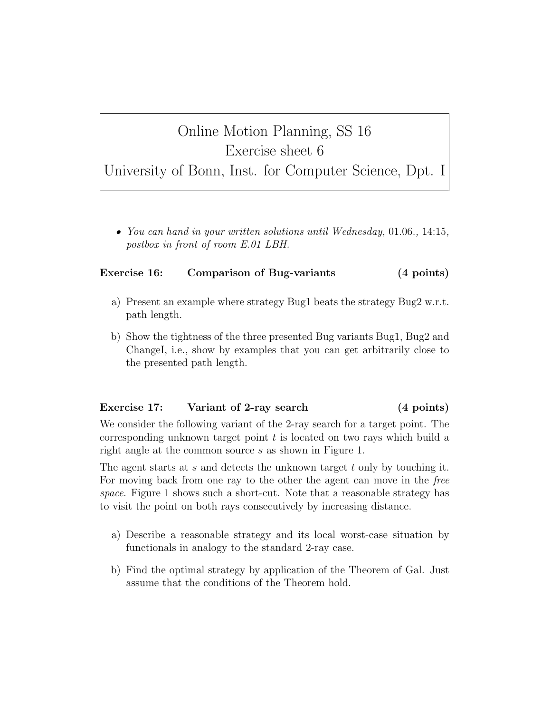## Online Motion Planning, SS 16 Exercise sheet 6

University of Bonn, Inst. for Computer Science, Dpt. I

• You can hand in your written solutions until Wednesday, 01.06., 14:15, postbox in front of room E.01 LBH.

## Exercise 16: Comparison of Bug-variants (4 points)

- a) Present an example where strategy Bug1 beats the strategy Bug2 w.r.t. path length.
- b) Show the tightness of the three presented Bug variants Bug1, Bug2 and ChangeI, i.e., show by examples that you can get arbitrarily close to the presented path length.

## Exercise 17: Variant of 2-ray search (4 points)

We consider the following variant of the 2-ray search for a target point. The corresponding unknown target point  $t$  is located on two rays which build a right angle at the common source s as shown in Figure 1.

The agent starts at s and detects the unknown target t only by touching it. For moving back from one ray to the other the agent can move in the free space. Figure 1 shows such a short-cut. Note that a reasonable strategy has to visit the point on both rays consecutively by increasing distance.

- a) Describe a reasonable strategy and its local worst-case situation by functionals in analogy to the standard 2-ray case.
- b) Find the optimal strategy by application of the Theorem of Gal. Just assume that the conditions of the Theorem hold.